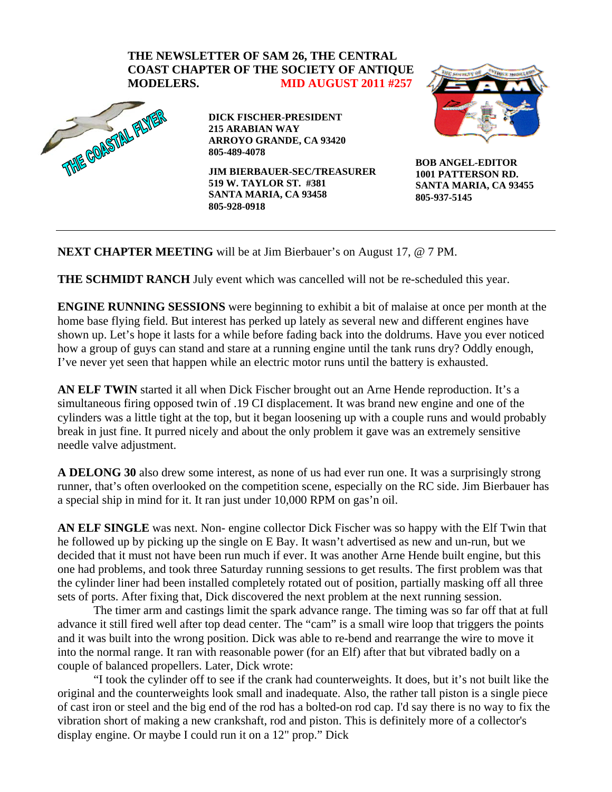## **THE NEWSLETTER OF SAM 26, THE CENTRAL COAST CHAPTER OF THE SOCIETY OF ANTIQUE**



**DICK FISCHER-PRESIDENT 215 ARABIAN WAY ARROYO GRANDE, CA 93420 805-489-4078** 

**JIM BIERBAUER-SEC/TREASURER 519 W. TAYLOR ST. #381 SANTA MARIA, CA 93458 805-928-0918** 



**BOB ANGEL-EDITOR 1001 PATTERSON RD. SANTA MARIA, CA 93455 805-937-5145** 

**NEXT CHAPTER MEETING** will be at Jim Bierbauer's on August 17, @ 7 PM.

**THE SCHMIDT RANCH** July event which was cancelled will not be re-scheduled this year.

**ENGINE RUNNING SESSIONS** were beginning to exhibit a bit of malaise at once per month at the home base flying field. But interest has perked up lately as several new and different engines have shown up. Let's hope it lasts for a while before fading back into the doldrums. Have you ever noticed how a group of guys can stand and stare at a running engine until the tank runs dry? Oddly enough, I've never yet seen that happen while an electric motor runs until the battery is exhausted.

**AN ELF TWIN** started it all when Dick Fischer brought out an Arne Hende reproduction. It's a simultaneous firing opposed twin of .19 CI displacement. It was brand new engine and one of the cylinders was a little tight at the top, but it began loosening up with a couple runs and would probably break in just fine. It purred nicely and about the only problem it gave was an extremely sensitive needle valve adjustment.

**A DELONG 30** also drew some interest, as none of us had ever run one. It was a surprisingly strong runner, that's often overlooked on the competition scene, especially on the RC side. Jim Bierbauer has a special ship in mind for it. It ran just under 10,000 RPM on gas'n oil.

**AN ELF SINGLE** was next. Non- engine collector Dick Fischer was so happy with the Elf Twin that he followed up by picking up the single on E Bay. It wasn't advertised as new and un-run, but we decided that it must not have been run much if ever. It was another Arne Hende built engine, but this one had problems, and took three Saturday running sessions to get results. The first problem was that the cylinder liner had been installed completely rotated out of position, partially masking off all three sets of ports. After fixing that, Dick discovered the next problem at the next running session.

The timer arm and castings limit the spark advance range. The timing was so far off that at full advance it still fired well after top dead center. The "cam" is a small wire loop that triggers the points and it was built into the wrong position. Dick was able to re-bend and rearrange the wire to move it into the normal range. It ran with reasonable power (for an Elf) after that but vibrated badly on a couple of balanced propellers. Later, Dick wrote:

"I took the cylinder off to see if the crank had counterweights. It does, but it's not built like the original and the counterweights look small and inadequate. Also, the rather tall piston is a single piece of cast iron or steel and the big end of the rod has a bolted-on rod cap. I'd say there is no way to fix the vibration short of making a new crankshaft, rod and piston. This is definitely more of a collector's display engine. Or maybe I could run it on a 12" prop." Dick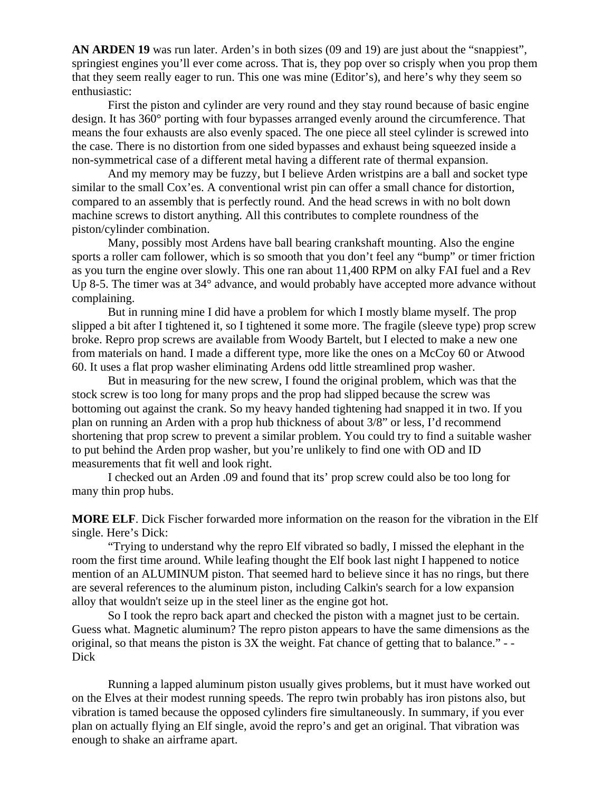**AN ARDEN 19** was run later. Arden's in both sizes (09 and 19) are just about the "snappiest", springiest engines you'll ever come across. That is, they pop over so crisply when you prop them that they seem really eager to run. This one was mine (Editor's), and here's why they seem so enthusiastic:

First the piston and cylinder are very round and they stay round because of basic engine design. It has 360° porting with four bypasses arranged evenly around the circumference. That means the four exhausts are also evenly spaced. The one piece all steel cylinder is screwed into the case. There is no distortion from one sided bypasses and exhaust being squeezed inside a non-symmetrical case of a different metal having a different rate of thermal expansion.

And my memory may be fuzzy, but I believe Arden wristpins are a ball and socket type similar to the small Cox'es. A conventional wrist pin can offer a small chance for distortion, compared to an assembly that is perfectly round. And the head screws in with no bolt down machine screws to distort anything. All this contributes to complete roundness of the piston/cylinder combination.

Many, possibly most Ardens have ball bearing crankshaft mounting. Also the engine sports a roller cam follower, which is so smooth that you don't feel any "bump" or timer friction as you turn the engine over slowly. This one ran about 11,400 RPM on alky FAI fuel and a Rev Up 8-5. The timer was at 34° advance, and would probably have accepted more advance without complaining.

But in running mine I did have a problem for which I mostly blame myself. The prop slipped a bit after I tightened it, so I tightened it some more. The fragile (sleeve type) prop screw broke. Repro prop screws are available from Woody Bartelt, but I elected to make a new one from materials on hand. I made a different type, more like the ones on a McCoy 60 or Atwood 60. It uses a flat prop washer eliminating Ardens odd little streamlined prop washer.

But in measuring for the new screw, I found the original problem, which was that the stock screw is too long for many props and the prop had slipped because the screw was bottoming out against the crank. So my heavy handed tightening had snapped it in two. If you plan on running an Arden with a prop hub thickness of about 3/8" or less, I'd recommend shortening that prop screw to prevent a similar problem. You could try to find a suitable washer to put behind the Arden prop washer, but you're unlikely to find one with OD and ID measurements that fit well and look right.

I checked out an Arden .09 and found that its' prop screw could also be too long for many thin prop hubs.

**MORE ELF**. Dick Fischer forwarded more information on the reason for the vibration in the Elf single. Here's Dick:

"Trying to understand why the repro Elf vibrated so badly, I missed the elephant in the room the first time around. While leafing thought the Elf book last night I happened to notice mention of an ALUMINUM piston. That seemed hard to believe since it has no rings, but there are several references to the aluminum piston, including Calkin's search for a low expansion alloy that wouldn't seize up in the steel liner as the engine got hot.

So I took the repro back apart and checked the piston with a magnet just to be certain. Guess what. Magnetic aluminum? The repro piston appears to have the same dimensions as the original, so that means the piston is 3X the weight. Fat chance of getting that to balance." - - Dick

Running a lapped aluminum piston usually gives problems, but it must have worked out on the Elves at their modest running speeds. The repro twin probably has iron pistons also, but vibration is tamed because the opposed cylinders fire simultaneously. In summary, if you ever plan on actually flying an Elf single, avoid the repro's and get an original. That vibration was enough to shake an airframe apart.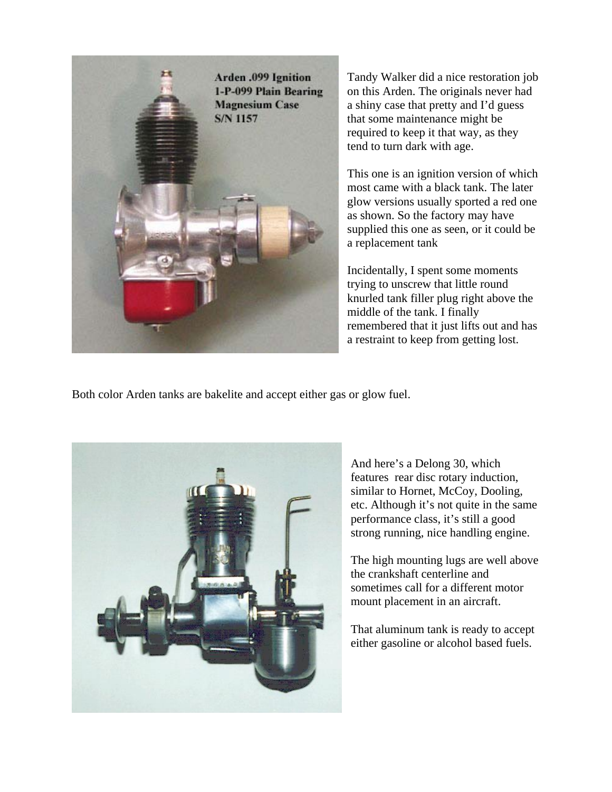

Tandy Walker did a nice restoration job on this Arden. The originals never had a shiny case that pretty and I'd guess that some maintenance might be required to keep it that way, as they tend to turn dark with age.

This one is an ignition version of which most came with a black tank. The later glow versions usually sported a red one as shown. So the factory may have supplied this one as seen, or it could be a replacement tank

Incidentally, I spent some moments trying to unscrew that little round knurled tank filler plug right above the middle of the tank. I finally remembered that it just lifts out and has a restraint to keep from getting lost.

Both color Arden tanks are bakelite and accept either gas or glow fuel.



And here's a Delong 30, which features rear disc rotary induction, similar to Hornet, McCoy, Dooling, etc. Although it's not quite in the same performance class, it's still a good strong running, nice handling engine.

The high mounting lugs are well above the crankshaft centerline and sometimes call for a different motor mount placement in an aircraft.

That aluminum tank is ready to accept either gasoline or alcohol based fuels.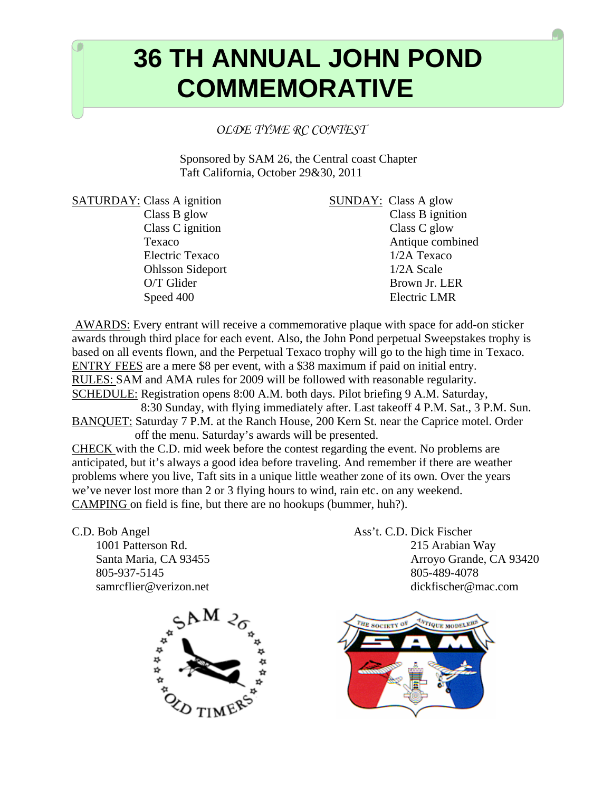## **COLORGIZE 10 TH ANNUAL JOHN POND COMMEMORATIVE Taft California, October 30 & 31, 2010**

*OLDE TYME RC CONTEST* 

Sponsored by SAM 26, the Central coast Chapter Taft California, October 29&30, 2011

SATURDAY: Class A ignition SUNDAY: Class A glow

 $\overline{\phantom{0}}$ 

 Class B glow Class B ignition Class C ignition Class C glow Texaco Antique combined Electric Texaco 1/2A Texaco Ohlsson Sideport 1/2A Scale O/T Glider Brown Jr. LER Speed 400 Electric LMR

 AWARDS: Every entrant will receive a commemorative plaque with space for add-on sticker awards through third place for each event. Also, the John Pond perpetual Sweepstakes trophy is based on all events flown, and the Perpetual Texaco trophy will go to the high time in Texaco. ENTRY FEES are a mere \$8 per event, with a \$38 maximum if paid on initial entry. RULES: SAM and AMA rules for 2009 will be followed with reasonable regularity. SCHEDULE: Registration opens 8:00 A.M. both days. Pilot briefing 9 A.M. Saturday, 8:30 Sunday, with flying immediately after. Last takeoff 4 P.M. Sat., 3 P.M. Sun. BANQUET: Saturday 7 P.M. at the Ranch House, 200 Kern St. near the Caprice motel. Order off the menu. Saturday's awards will be presented.

CHECK with the C.D. mid week before the contest regarding the event. No problems are anticipated, but it's always a good idea before traveling. And remember if there are weather problems where you live, Taft sits in a unique little weather zone of its own. Over the years we've never lost more than 2 or 3 flying hours to wind, rain etc. on any weekend. CAMPING on field is fine, but there are no hookups (bummer, huh?).

805-937-5145 805-489-4078

C.D. Bob Angel Ass't. C.D. Dick Fischer 1001 Patterson Rd. 215 Arabian Way Santa Maria, CA 93455 Arroyo Grande, CA 93420 samrcflier@verizon.net dickfischer@mac.com



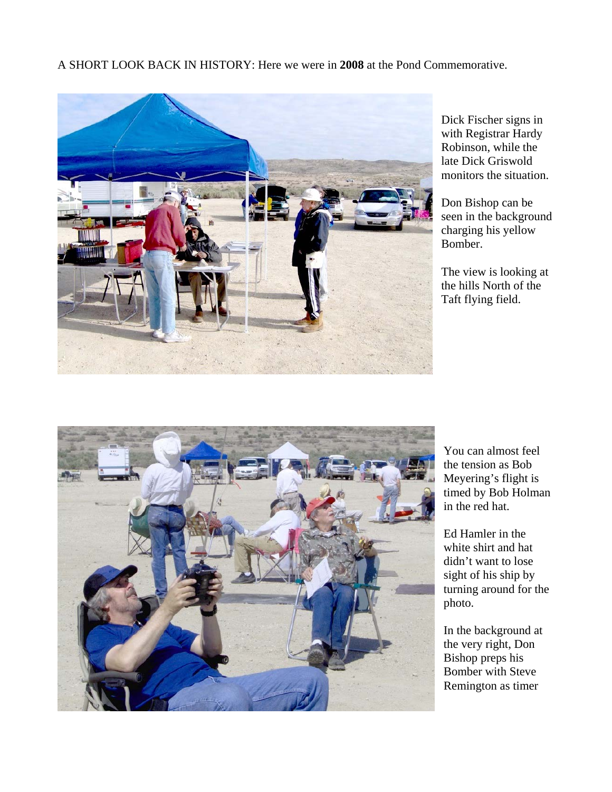A SHORT LOOK BACK IN HISTORY: Here we were in **2008** at the Pond Commemorative.



Dick Fischer signs in with Registrar Hardy Robinson, while the late Dick Griswold monitors the situation.

Don Bishop can be seen in the background charging his yellow Bomber.

The view is looking at the hills North of the Taft flying field.



You can almost feel the tension as Bob Meyering's flight is timed by Bob Holman in the red hat.

Ed Hamler in the white shirt and hat didn't want to lose sight of his ship by turning around for the photo.

In the background at the very right, Don Bishop preps his Bomber with Steve Remington as timer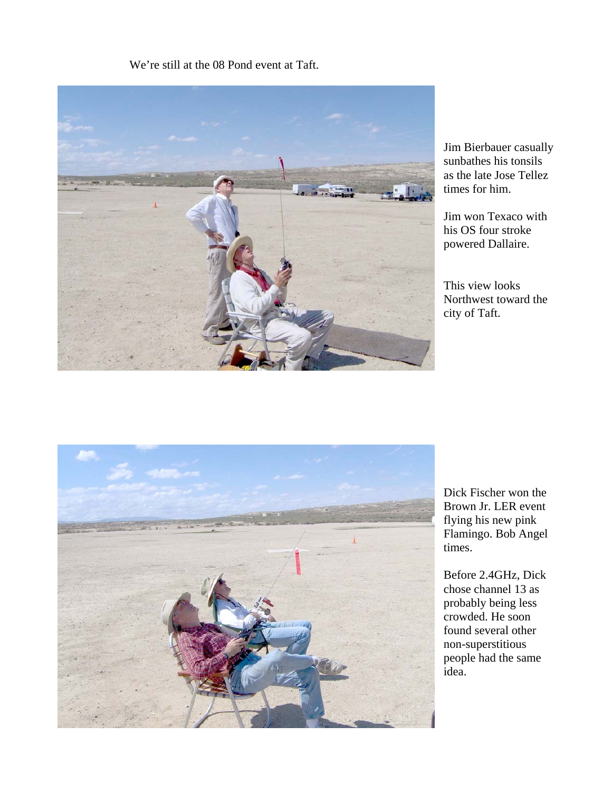## We're still at the 08 Pond event at Taft.



Jim Bierbauer casually sunbathes his tonsils as the late Jose Tellez times for him.

Jim won Texaco with his OS four stroke powered Dallaire.

This view looks Northwest toward the city of Taft.



Dick Fischer won the Brown Jr. LER event flying his new pink Flamingo. Bob Angel times.

Before 2.4GHz, Dick chose channel 13 as probably being less crowded. He soon found several other non-superstitious people had the same idea.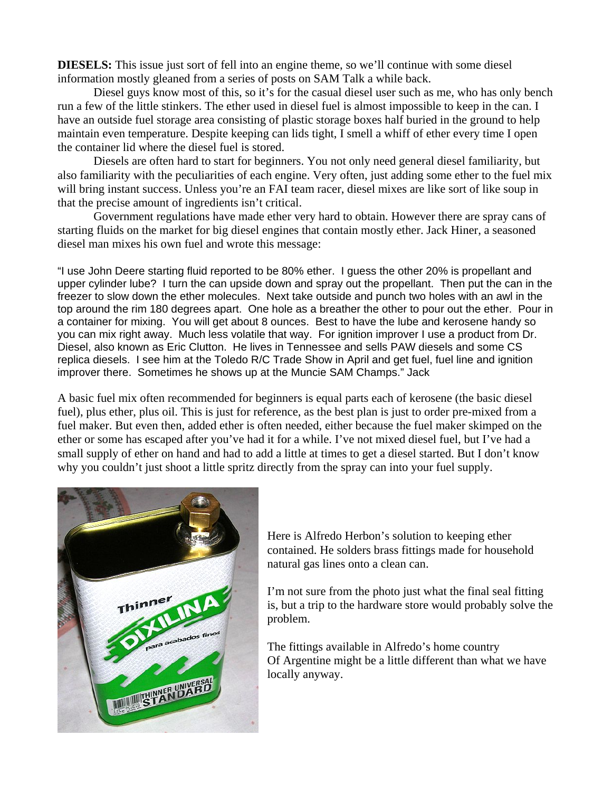**DIESELS:** This issue just sort of fell into an engine theme, so we'll continue with some diesel information mostly gleaned from a series of posts on SAM Talk a while back.

 Diesel guys know most of this, so it's for the casual diesel user such as me, who has only bench run a few of the little stinkers. The ether used in diesel fuel is almost impossible to keep in the can. I have an outside fuel storage area consisting of plastic storage boxes half buried in the ground to help maintain even temperature. Despite keeping can lids tight, I smell a whiff of ether every time I open the container lid where the diesel fuel is stored.

 Diesels are often hard to start for beginners. You not only need general diesel familiarity, but also familiarity with the peculiarities of each engine. Very often, just adding some ether to the fuel mix will bring instant success. Unless you're an FAI team racer, diesel mixes are like sort of like soup in that the precise amount of ingredients isn't critical.

 Government regulations have made ether very hard to obtain. However there are spray cans of starting fluids on the market for big diesel engines that contain mostly ether. Jack Hiner, a seasoned diesel man mixes his own fuel and wrote this message:

"I use John Deere starting fluid reported to be 80% ether. I guess the other 20% is propellant and upper cylinder lube? I turn the can upside down and spray out the propellant. Then put the can in the freezer to slow down the ether molecules. Next take outside and punch two holes with an awl in the top around the rim 180 degrees apart. One hole as a breather the other to pour out the ether. Pour in a container for mixing. You will get about 8 ounces. Best to have the lube and kerosene handy so you can mix right away. Much less volatile that way. For ignition improver I use a product from Dr. Diesel, also known as Eric Clutton. He lives in Tennessee and sells PAW diesels and some CS replica diesels. I see him at the Toledo R/C Trade Show in April and get fuel, fuel line and ignition improver there. Sometimes he shows up at the Muncie SAM Champs." Jack

A basic fuel mix often recommended for beginners is equal parts each of kerosene (the basic diesel fuel), plus ether, plus oil. This is just for reference, as the best plan is just to order pre-mixed from a fuel maker. But even then, added ether is often needed, either because the fuel maker skimped on the ether or some has escaped after you've had it for a while. I've not mixed diesel fuel, but I've had a small supply of ether on hand and had to add a little at times to get a diesel started. But I don't know why you couldn't just shoot a little spritz directly from the spray can into your fuel supply.



Here is Alfredo Herbon's solution to keeping ether contained. He solders brass fittings made for household natural gas lines onto a clean can.

I'm not sure from the photo just what the final seal fitting is, but a trip to the hardware store would probably solve the problem.

The fittings available in Alfredo's home country Of Argentine might be a little different than what we have locally anyway.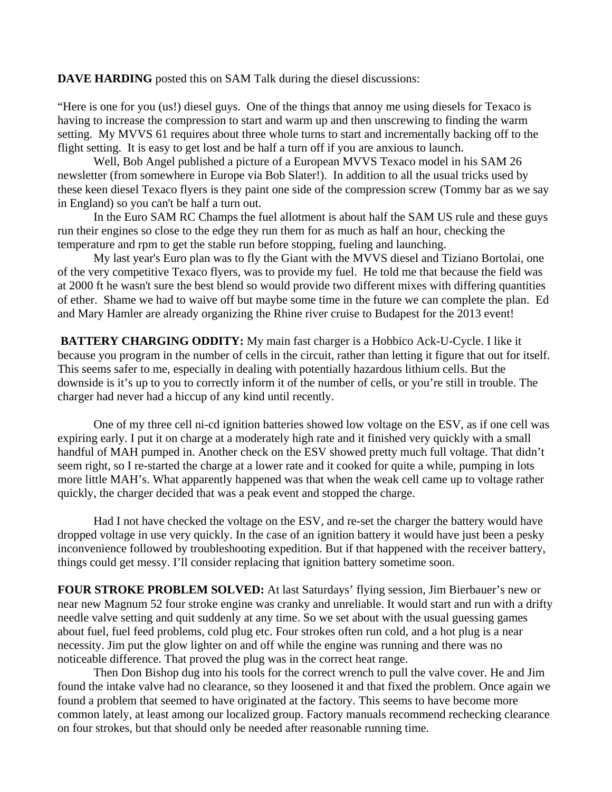## **DAVE HARDING** posted this on SAM Talk during the diesel discussions:

"Here is one for you (us!) diesel guys. One of the things that annoy me using diesels for Texaco is having to increase the compression to start and warm up and then unscrewing to finding the warm setting. My MVVS 61 requires about three whole turns to start and incrementally backing off to the flight setting. It is easy to get lost and be half a turn off if you are anxious to launch.

Well, Bob Angel published a picture of a European MVVS Texaco model in his SAM 26 newsletter (from somewhere in Europe via Bob Slater!). In addition to all the usual tricks used by these keen diesel Texaco flyers is they paint one side of the compression screw (Tommy bar as we say in England) so you can't be half a turn out.

 In the Euro SAM RC Champs the fuel allotment is about half the SAM US rule and these guys run their engines so close to the edge they run them for as much as half an hour, checking the temperature and rpm to get the stable run before stopping, fueling and launching.

 My last year's Euro plan was to fly the Giant with the MVVS diesel and Tiziano Bortolai, one of the very competitive Texaco flyers, was to provide my fuel. He told me that because the field was at 2000 ft he wasn't sure the best blend so would provide two different mixes with differing quantities of ether. Shame we had to waive off but maybe some time in the future we can complete the plan. Ed and Mary Hamler are already organizing the Rhine river cruise to Budapest for the 2013 event!

**BATTERY CHARGING ODDITY:** My main fast charger is a Hobbico Ack-U-Cycle. I like it because you program in the number of cells in the circuit, rather than letting it figure that out for itself. This seems safer to me, especially in dealing with potentially hazardous lithium cells. But the downside is it's up to you to correctly inform it of the number of cells, or you're still in trouble. The charger had never had a hiccup of any kind until recently.

One of my three cell ni-cd ignition batteries showed low voltage on the ESV, as if one cell was expiring early. I put it on charge at a moderately high rate and it finished very quickly with a small handful of MAH pumped in. Another check on the ESV showed pretty much full voltage. That didn't seem right, so I re-started the charge at a lower rate and it cooked for quite a while, pumping in lots more little MAH's. What apparently happened was that when the weak cell came up to voltage rather quickly, the charger decided that was a peak event and stopped the charge.

Had I not have checked the voltage on the ESV, and re-set the charger the battery would have dropped voltage in use very quickly. In the case of an ignition battery it would have just been a pesky inconvenience followed by troubleshooting expedition. But if that happened with the receiver battery, things could get messy. I'll consider replacing that ignition battery sometime soon.

**FOUR STROKE PROBLEM SOLVED:** At last Saturdays' flying session, Jim Bierbauer's new or near new Magnum 52 four stroke engine was cranky and unreliable. It would start and run with a drifty needle valve setting and quit suddenly at any time. So we set about with the usual guessing games about fuel, fuel feed problems, cold plug etc. Four strokes often run cold, and a hot plug is a near necessity. Jim put the glow lighter on and off while the engine was running and there was no noticeable difference. That proved the plug was in the correct heat range.

 Then Don Bishop dug into his tools for the correct wrench to pull the valve cover. He and Jim found the intake valve had no clearance, so they loosened it and that fixed the problem. Once again we found a problem that seemed to have originated at the factory. This seems to have become more common lately, at least among our localized group. Factory manuals recommend rechecking clearance on four strokes, but that should only be needed after reasonable running time.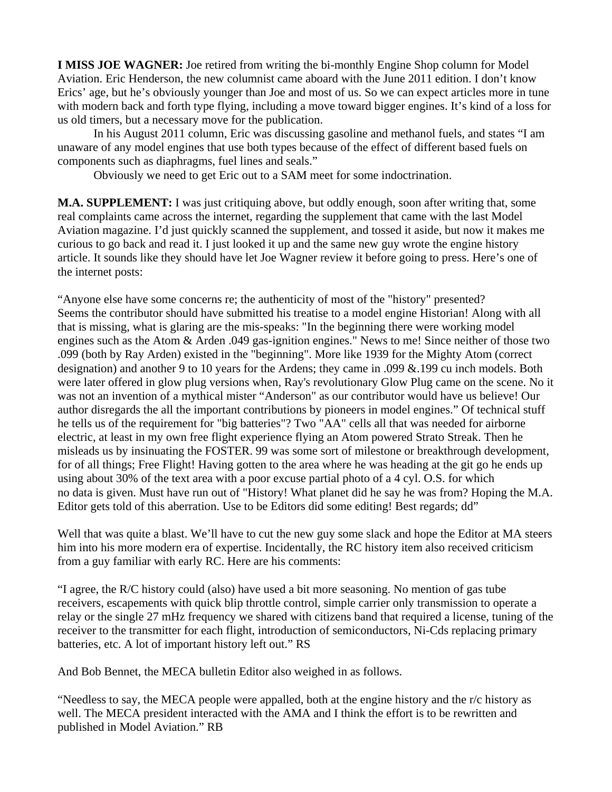**I MISS JOE WAGNER:** Joe retired from writing the bi-monthly Engine Shop column for Model Aviation. Eric Henderson, the new columnist came aboard with the June 2011 edition. I don't know Erics' age, but he's obviously younger than Joe and most of us. So we can expect articles more in tune with modern back and forth type flying, including a move toward bigger engines. It's kind of a loss for us old timers, but a necessary move for the publication.

In his August 2011 column, Eric was discussing gasoline and methanol fuels, and states "I am unaware of any model engines that use both types because of the effect of different based fuels on components such as diaphragms, fuel lines and seals."

Obviously we need to get Eric out to a SAM meet for some indoctrination.

**M.A. SUPPLEMENT:** I was just critiquing above, but oddly enough, soon after writing that, some real complaints came across the internet, regarding the supplement that came with the last Model Aviation magazine. I'd just quickly scanned the supplement, and tossed it aside, but now it makes me curious to go back and read it. I just looked it up and the same new guy wrote the engine history article. It sounds like they should have let Joe Wagner review it before going to press. Here's one of the internet posts:

"Anyone else have some concerns re; the authenticity of most of the "history" presented? Seems the contributor should have submitted his treatise to a model engine Historian! Along with all that is missing, what is glaring are the mis-speaks: "In the beginning there were working model engines such as the Atom & Arden .049 gas-ignition engines." News to me! Since neither of those two .099 (both by Ray Arden) existed in the "beginning". More like 1939 for the Mighty Atom (correct designation) and another 9 to 10 years for the Ardens; they came in .099 &.199 cu inch models. Both were later offered in glow plug versions when, Ray's revolutionary Glow Plug came on the scene. No it was not an invention of a mythical mister "Anderson" as our contributor would have us believe! Our author disregards the all the important contributions by pioneers in model engines." Of technical stuff he tells us of the requirement for "big batteries"? Two "AA" cells all that was needed for airborne electric, at least in my own free flight experience flying an Atom powered Strato Streak. Then he misleads us by insinuating the FOSTER. 99 was some sort of milestone or breakthrough development, for of all things; Free Flight! Having gotten to the area where he was heading at the git go he ends up using about 30% of the text area with a poor excuse partial photo of a 4 cyl. O.S. for which no data is given. Must have run out of "History! What planet did he say he was from? Hoping the M.A. Editor gets told of this aberration. Use to be Editors did some editing! Best regards; dd"

Well that was quite a blast. We'll have to cut the new guy some slack and hope the Editor at MA steers him into his more modern era of expertise. Incidentally, the RC history item also received criticism from a guy familiar with early RC. Here are his comments:

"I agree, the R/C history could (also) have used a bit more seasoning. No mention of gas tube receivers, escapements with quick blip throttle control, simple carrier only transmission to operate a relay or the single 27 mHz frequency we shared with citizens band that required a license, tuning of the receiver to the transmitter for each flight, introduction of semiconductors, Ni-Cds replacing primary batteries, etc. A lot of important history left out." RS

And Bob Bennet, the MECA bulletin Editor also weighed in as follows.

"Needless to say, the MECA people were appalled, both at the engine history and the r/c history as well. The MECA president interacted with the AMA and I think the effort is to be rewritten and published in Model Aviation." RB